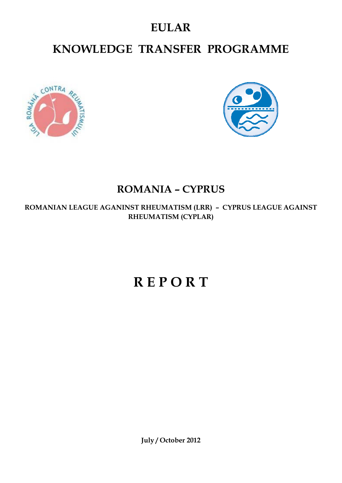### **EULAR**

## **KNOWLEDGE TRANSFER PROGRAMME**





#### **ROMANIA – CYPRUS**

**ROMANIAN LEAGUE AGANINST RHEUMATISM (LRR) – CYPRUS LEAGUE AGAINST RHEUMATISM (CYPLAR)**

# **R E P O R T**

**July / October 2012**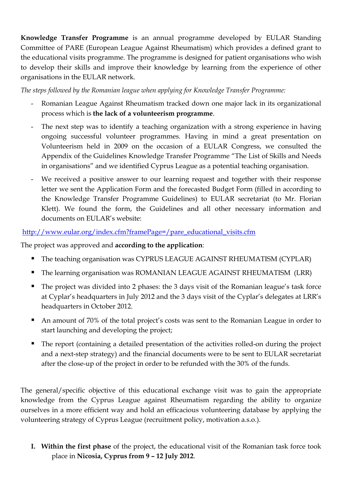**Knowledge Transfer Programme** is an annual programme developed by EULAR Standing Committee of PARE (European League Against Rheumatism) which provides a defined grant to the educational visits programme. The programme is designed for patient organisations who wish to develop their skills and improve their knowledge by learning from the experience of other organisations in the EULAR network.

*The steps followed by the Romanian league when applying for Knowledge Transfer Programme:*

- Romanian League Against Rheumatism tracked down one major lack in its organizational process which is **the lack of a volunteerism programme**.
- The next step was to identify a teaching organization with a strong experience in having ongoing successful volunteer programmes. Having in mind a great presentation on Volunteerism held in 2009 on the occasion of a EULAR Congress, we consulted the Appendix of the Guidelines Knowledge Transfer Programme "The List of Skills and Needs in organisations" and we identified Cyprus League as a potential teaching organisation.
- We received a positive answer to our learning request and together with their response letter we sent the Application Form and the forecasted Budget Form (filled in according to the Knowledge Transfer Programme Guidelines) to EULAR secretariat (to Mr. Florian Klett). We found the form, the Guidelines and all other necessary information and documents on EULAR's website:

[http://www.eular.org/index.cfm?framePage=/pare\\_educational\\_visits.cfm](http://www.eular.org/index.cfm?framePage=/pare_educational_visits.cfm)

The project was approved and **according to the application**:

- The teaching organisation was CYPRUS LEAGUE AGAINST RHEUMATISM (CYPLAR)
- The learning organisation was ROMANIAN LEAGUE AGAINST RHEUMATISM (LRR)
- The project was divided into 2 phases: the 3 days visit of the Romanian league's task force at Cyplar's headquarters in July 2012 and the 3 days visit of the Cyplar's delegates at LRR's headquarters in October 2012.
- An amount of 70% of the total project's costs was sent to the Romanian League in order to start launching and developing the project;
- The report (containing a detailed presentation of the activities rolled-on during the project and a next-step strategy) and the financial documents were to be sent to EULAR secretariat after the close-up of the project in order to be refunded with the 30% of the funds.

The general/specific objective of this educational exchange visit was to gain the appropriate knowledge from the Cyprus League against Rheumatism regarding the ability to organize ourselves in a more efficient way and hold an efficacious volunteering database by applying the volunteering strategy of Cyprus League (recruitment policy, motivation a.s.o.).

**I. Within the first phase** of the project, the educational visit of the Romanian task force took place in **Nicosia, Cyprus from 9 – 12 July 2012**.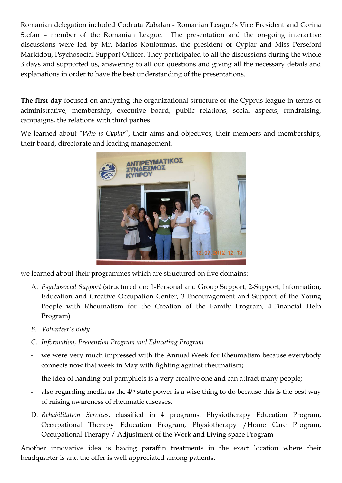Romanian delegation included Codruta Zabalan - Romanian League's Vice President and Corina Stefan – member of the Romanian League. The presentation and the on-going interactive discussions were led by Mr. Marios Kouloumas, the president of Cyplar and Miss Persefoni Markidou, Psychosocial Support Officer. They participated to all the discussions during the whole 3 days and supported us, answering to all our questions and giving all the necessary details and explanations in order to have the best understanding of the presentations.

**The first day** focused on analyzing the organizational structure of the Cyprus league in terms of administrative, membership, executive board, public relations, social aspects, fundraising, campaigns, the relations with third parties.

We learned about "*Who is Cyplar*", their aims and objectives, their members and memberships, their board, directorate and leading management,



we learned about their programmes which are structured on five domains:

- A. *Psychosocial Support* (structured on: 1-Personal and Group Support, 2-Support, Information, Education and Creative Occupation Center, 3-Encouragement and Support of the Young People with Rheumatism for the Creation of the Family Program, 4-Financial Help Program)
- *B. Volunteer's Body*
- *C. Information, Prevention Program and Educating Program*
- we were very much impressed with the Annual Week for Rheumatism because everybody connects now that week in May with fighting against rheumatism;
- the idea of handing out pamphlets is a very creative one and can attract many people;
- also regarding media as the  $4<sup>th</sup>$  state power is a wise thing to do because this is the best way of raising awareness of rheumatic diseases.
- D. *Rehabilitation Services,* classified in 4 programs: Physiotherapy Education Program, Occupational Therapy Education Program, Physiotherapy /Home Care Program, Occupational Therapy / Adjustment of the Work and Living space Program

Another innovative idea is having paraffin treatments in the exact location where their headquarter is and the offer is well appreciated among patients.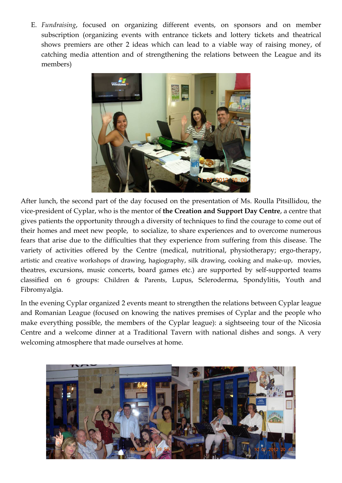E. *Fundraising*, focused on organizing different events, on sponsors and on member subscription (organizing events with entrance tickets and lottery tickets and theatrical shows premiers are other 2 ideas which can lead to a viable way of raising money, of catching media attention and of strengthening the relations between the League and its members)



After lunch, the second part of the day focused on the presentation of Ms. Roulla Pitsillidou, the vice-president of Cyplar, who is the mentor of **the Creation and Support Day Centre**, a centre that gives patients the opportunity through a diversity of techniques to find the courage to come out of their homes and meet new people, to socialize, to share experiences and to overcome numerous fears that arise due to the difficulties that they experience from suffering from this disease. The variety of activities offered by the Centre (medical, nutritional, physiotherapy; ergo-therapy, artistic and creative workshops of drawing, hagiography, silk drawing, cooking and make-up, movies, theatres, excursions, music concerts, board games etc.) are supported by self-supported teams classified on 6 groups: Children & Parents, Lupus, Scleroderma, Spondylitis, Youth and Fibromyalgia.

In the evening Cyplar organized 2 events meant to strengthen the relations between Cyplar league and Romanian League (focused on knowing the natives premises of Cyplar and the people who make everything possible, the members of the Cyplar league): a sightseeing tour of the Nicosia Centre and a welcome dinner at a Traditional Tavern with national dishes and songs. A very welcoming atmosphere that made ourselves at home.

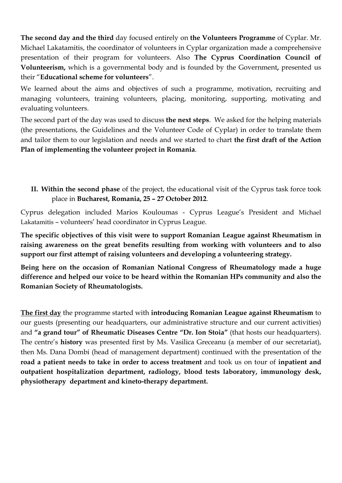**The second day and the third** day focused entirely on **the Volunteers Programme** of Cyplar. Mr. Michael Lakatamitis, the coordinator of volunteers in Cyplar organization made a comprehensive presentation of their program for volunteers. Also **The Cyprus Coordination Council of Volunteerism,** which is a governmental body and is founded by the Government**,** presented us their "**Educational scheme for volunteers**".

We learned about the aims and objectives of such a programme, motivation, recruiting and managing volunteers, training volunteers, placing, monitoring, supporting, motivating and evaluating volunteers.

The second part of the day was used to discuss **the next steps**. We asked for the helping materials (the presentations, the Guidelines and the Volunteer Code of Cyplar) in order to translate them and tailor them to our legislation and needs and we started to chart **the first draft of the Action Plan of implementing the volunteer project in Romania**.

**II. Within the second phase** of the project, the educational visit of the Cyprus task force took place in **Bucharest, Romania, 25 – 27 October 2012**.

Cyprus delegation included Marios Kouloumas - Cyprus League's President and Michael Lakatamitis – volunteers' head coordinator in Cyprus League.

**The specific objectives of this visit were to support Romanian League against Rheumatism in raising awareness on the great benefits resulting from working with volunteers and to also support our first attempt of raising volunteers and developing a volunteering strategy.**

**Being here on the occasion of Romanian National Congress of Rheumatology made a huge difference and helped our voice to be heard within the Romanian HPs community and also the Romanian Society of Rheumatologists.** 

**The first day** the programme started with **introducing Romanian League against Rheumatism** to our guests (presenting our headquarters, our administrative structure and our current activities) and **"a grand tour" of Rheumatic Diseases Centre "Dr. Ion Stoia"** (that hosts our headquarters). The centre's **history** was presented first by Ms. Vasilica Greceanu (a member of our secretariat), then Ms. Dana Dombi (head of management department) continued with the presentation of the **road a patient needs to take in order to access treatment** and took us on tour of **inpatient and outpatient hospitalization department, radiology, blood tests laboratory, immunology desk, physiotherapy department and kineto-therapy department.**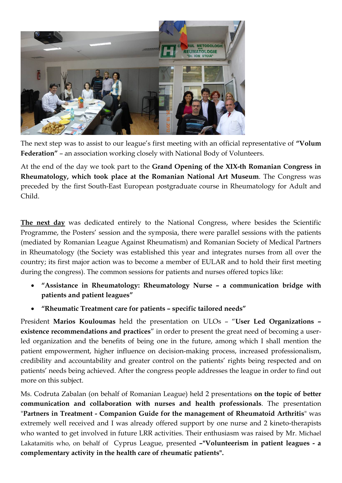

The next step was to assist to our league's first meeting with an official representative of **"Volum Federation"** – an association working closely with National Body of Volunteers.

At the end of the day we took part to the **Grand Opening of the XIX-th Romanian Congress in Rheumatology, which took place at the Romanian National Art Museum**. The Congress was preceded by the first South-East European postgraduate course in Rheumatology for Adult and Child.

**The next day** was dedicated entirely to the National Congress, where besides the Scientific Programme, the Posters' session and the symposia, there were parallel sessions with the patients (mediated by Romanian League Against Rheumatism) and Romanian Society of Medical Partners in Rheumatology (the Society was established this year and integrates nurses from all over the country; its first major action was to become a member of EULAR and to hold their first meeting during the congress). The common sessions for patients and nurses offered topics like:

- **"Assistance in Rheumatology: Rheumatology Nurse – a communication bridge with patients and patient leagues"**
- **"Rheumatic Treatment care for patients – specific tailored needs"**

President **Marios Kouloumas** held the presentation on ULOs – "**User Led Organizations – existence recommendations and practices**" in order to present the great need of becoming a userled organization and the benefits of being one in the future, among which I shall mention the patient empowerment, higher influence on decision-making process, increased professionalism, credibility and accountability and greater control on the patients' rights being respected and on patients' needs being achieved. After the congress people addresses the league in order to find out more on this subject.

Ms. Codruta Zabalan (on behalf of Romanian League) held 2 presentations **on the topic of better communication and collaboration with nurses and health professionals**. The presentation "**Partners in Treatment - Companion Guide for the management of Rheumatoid Arthritis**" was extremely well received and I was already offered support by one nurse and 2 kineto-therapists who wanted to get involved in future LRR activities. Their enthusiasm was raised by Mr. Michael Lakatamitis who, on behalf of Cyprus League, presented **–"Volunteerism in patient leagues - a complementary activity in the health care of rheumatic patients".**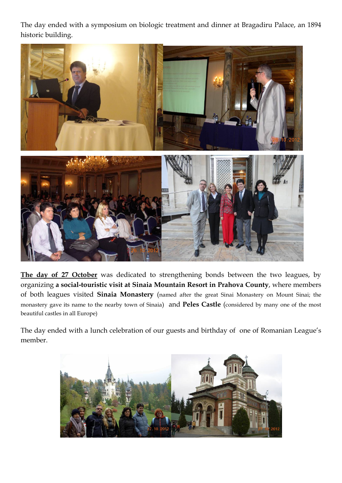The day ended with a symposium on biologic treatment and dinner at Bragadiru Palace, an 1894 historic building.



**The day of 27 October** was dedicated to strengthening bonds between the two leagues, by organizing **a social-touristic visit at Sinaia Mountain Resort in Prahova County**, where members of both leagues visited **Sinaia Monastery** (named after the great [Sinai Monastery](http://en.wikipedia.org/wiki/Sinai_Monastery) on [Mount Sinai;](http://en.wikipedia.org/wiki/Mount_Sinai) the monastery gave its name to the nearby town of Sinaia) and **Peles Castle** (considered by many one of the most beautiful castles in all Europe)

The day ended with a lunch celebration of our guests and birthday of one of Romanian League's member.